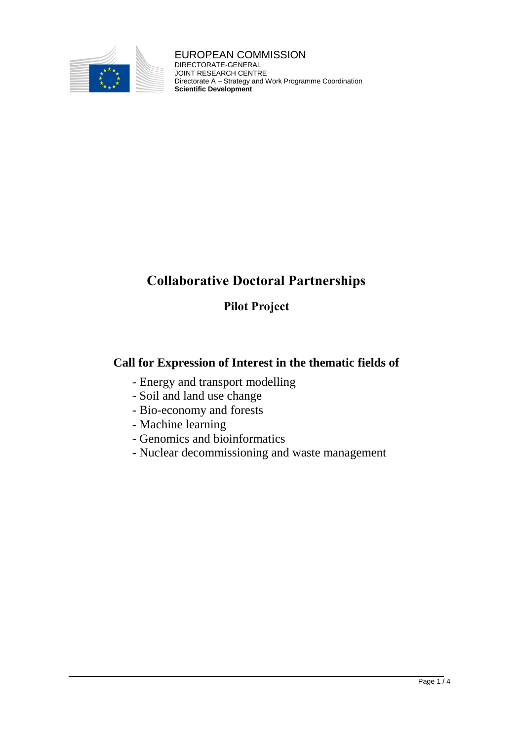

EUROPEAN COMMISSION DIRECTORATE-GENERAL JOINT RESEARCH CENTRE Directorate A – Strategy and Work Programme Coordination **Scientific Development**

# **Collaborative Doctoral Partnerships**

# **Pilot Project**

# **Call for Expression of Interest in the thematic fields of**

- Energy and transport modelling
- Soil and land use change
- Bio-economy and forests
- Machine learning
- Genomics and bioinformatics
- Nuclear decommissioning and waste management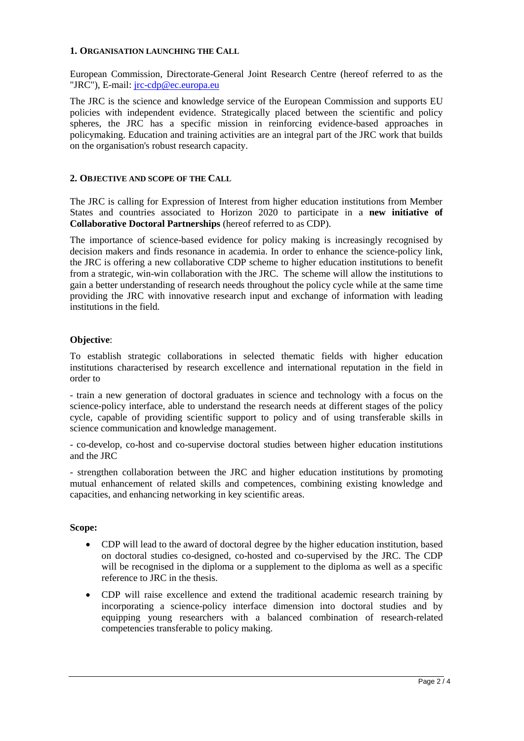#### **1. ORGANISATION LAUNCHING THE CALL**

European Commission, Directorate-General Joint Research Centre (hereof referred to as the "JRC"), E-mail: [jrc-cdp@ec.europa.eu](mailto:jrc-cdp@ec.europa.eu?subject=CDP)

The JRC is the science and knowledge service of the European Commission and supports EU policies with independent evidence. Strategically placed between the scientific and policy spheres, the JRC has a specific mission in reinforcing evidence-based approaches in policymaking. Education and training activities are an integral part of the JRC work that builds on the organisation's robust research capacity.

### **2. OBJECTIVE AND SCOPE OF THE CALL**

The JRC is calling for Expression of Interest from higher education institutions from Member States and countries associated to Horizon 2020 to participate in a **new initiative of Collaborative Doctoral Partnerships** (hereof referred to as CDP).

The importance of science-based evidence for policy making is increasingly recognised by decision makers and finds resonance in academia. In order to enhance the science-policy link, the JRC is offering a new collaborative CDP scheme to higher education institutions to benefit from a strategic, win-win collaboration with the JRC. The scheme will allow the institutions to gain a better understanding of research needs throughout the policy cycle while at the same time providing the JRC with innovative research input and exchange of information with leading institutions in the field.

### **Objective**:

To establish strategic collaborations in selected thematic fields with higher education institutions characterised by research excellence and international reputation in the field in order to

- train a new generation of doctoral graduates in science and technology with a focus on the science-policy interface, able to understand the research needs at different stages of the policy cycle, capable of providing scientific support to policy and of using transferable skills in science communication and knowledge management.

- co-develop, co-host and co-supervise doctoral studies between higher education institutions and the JRC

- strengthen collaboration between the JRC and higher education institutions by promoting mutual enhancement of related skills and competences, combining existing knowledge and capacities, and enhancing networking in key scientific areas.

#### **Scope:**

- CDP will lead to the award of doctoral degree by the higher education institution, based on doctoral studies co-designed, co-hosted and co-supervised by the JRC. The CDP will be recognised in the diploma or a supplement to the diploma as well as a specific reference to JRC in the thesis.
- CDP will raise excellence and extend the traditional academic research training by incorporating a science-policy interface dimension into doctoral studies and by equipping young researchers with a balanced combination of research-related competencies transferable to policy making.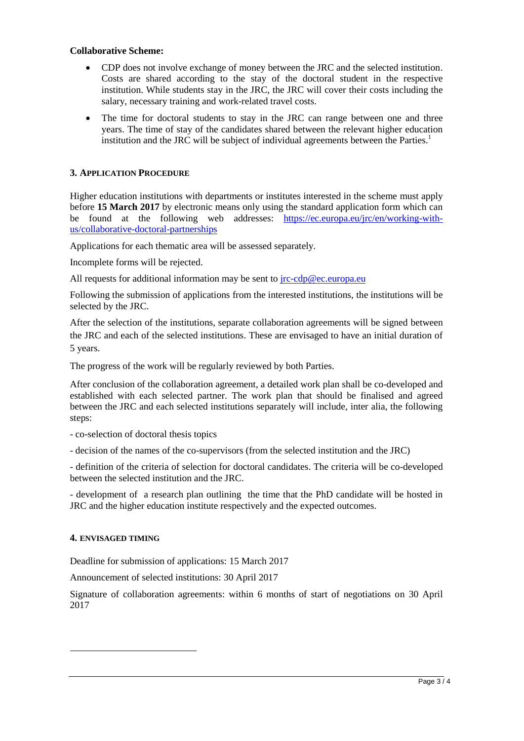#### **Collaborative Scheme:**

- CDP does not involve exchange of money between the JRC and the selected institution. Costs are shared according to the stay of the doctoral student in the respective institution. While students stay in the JRC, the JRC will cover their costs including the salary, necessary training and work-related travel costs.
- The time for doctoral students to stay in the JRC can range between one and three years. The time of stay of the candidates shared between the relevant higher education institution and the JRC will be subject of individual agreements between the Parties. $1$

# **3. APPLICATION PROCEDURE**

Higher education institutions with departments or institutes interested in the scheme must apply before **15 March 2017** by electronic means only using the standard application form which can be found at the following web addresses: [https://ec.europa.eu/jrc/en/working-with](https://ec.europa.eu/jrc/en/working-with-us/collaborative-doctoral-partnerships)[us/collaborative-doctoral-partnerships](https://ec.europa.eu/jrc/en/working-with-us/collaborative-doctoral-partnerships)

Applications for each thematic area will be assessed separately.

Incomplete forms will be rejected.

All requests for additional information may be sent to  $irc\text{-}cdp@ec.curopa.eu$ 

Following the submission of applications from the interested institutions, the institutions will be selected by the JRC.

After the selection of the institutions, separate collaboration agreements will be signed between the JRC and each of the selected institutions. These are envisaged to have an initial duration of 5 years.

The progress of the work will be regularly reviewed by both Parties.

After conclusion of the collaboration agreement, a detailed work plan shall be co-developed and established with each selected partner. The work plan that should be finalised and agreed between the JRC and each selected institutions separately will include, inter alia, the following steps:

- co-selection of doctoral thesis topics

- decision of the names of the co-supervisors (from the selected institution and the JRC)

- definition of the criteria of selection for doctoral candidates. The criteria will be co-developed between the selected institution and the JRC.

- development of a research plan outlining the time that the PhD candidate will be hosted in JRC and the higher education institute respectively and the expected outcomes.

## **4. ENVISAGED TIMING**

1

Deadline for submission of applications: 15 March 2017

Announcement of selected institutions: 30 April 2017

Signature of collaboration agreements: within 6 months of start of negotiations on 30 April 2017